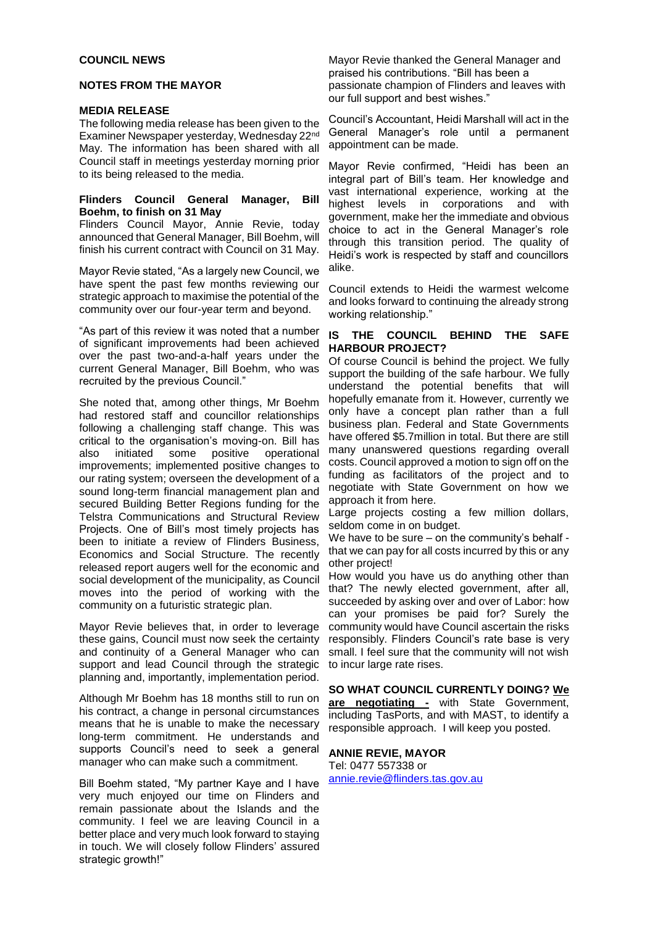### **COUNCIL NEWS**

## **NOTES FROM THE MAYOR**

### **MEDIA RELEASE**

The following media release has been given to the Examiner Newspaper yesterday, Wednesday 22nd May. The information has been shared with all Council staff in meetings yesterday morning prior to its being released to the media.

## **Flinders Council General Manager, Bill Boehm, to finish on 31 May**

Flinders Council Mayor, Annie Revie, today announced that General Manager, Bill Boehm, will finish his current contract with Council on 31 May.

Mayor Revie stated, "As a largely new Council, we have spent the past few months reviewing our strategic approach to maximise the potential of the community over our four-year term and beyond.

"As part of this review it was noted that a number of significant improvements had been achieved over the past two-and-a-half years under the current General Manager, Bill Boehm, who was recruited by the previous Council."

She noted that, among other things, Mr Boehm had restored staff and councillor relationships following a challenging staff change. This was critical to the organisation's moving-on. Bill has also initiated some positive operational improvements; implemented positive changes to our rating system; overseen the development of a sound long-term financial management plan and secured Building Better Regions funding for the Telstra Communications and Structural Review Projects. One of Bill's most timely projects has been to initiate a review of Flinders Business, Economics and Social Structure. The recently released report augers well for the economic and social development of the municipality, as Council moves into the period of working with the community on a futuristic strategic plan.

Mayor Revie believes that, in order to leverage these gains, Council must now seek the certainty and continuity of a General Manager who can support and lead Council through the strategic planning and, importantly, implementation period.

Although Mr Boehm has 18 months still to run on his contract, a change in personal circumstances means that he is unable to make the necessary long-term commitment. He understands and supports Council's need to seek a general manager who can make such a commitment.

Bill Boehm stated, "My partner Kaye and I have very much enjoyed our time on Flinders and remain passionate about the Islands and the community. I feel we are leaving Council in a better place and very much look forward to staying in touch. We will closely follow Flinders' assured strategic growth!"

Mayor Revie thanked the General Manager and praised his contributions. "Bill has been a passionate champion of Flinders and leaves with our full support and best wishes."

Council's Accountant, Heidi Marshall will act in the General Manager's role until a permanent appointment can be made.

Mayor Revie confirmed, "Heidi has been an integral part of Bill's team. Her knowledge and vast international experience, working at the highest levels in corporations and with government, make her the immediate and obvious choice to act in the General Manager's role through this transition period. The quality of Heidi's work is respected by staff and councillors alike.

Council extends to Heidi the warmest welcome and looks forward to continuing the already strong working relationship."

### **IS THE COUNCIL BEHIND THE SAFE HARBOUR PROJECT?**

Of course Council is behind the project. We fully support the building of the safe harbour. We fully understand the potential benefits that will hopefully emanate from it. However, currently we only have a concept plan rather than a full business plan. Federal and State Governments have offered \$5.7million in total. But there are still many unanswered questions regarding overall costs. Council approved a motion to sign off on the funding as facilitators of the project and to negotiate with State Government on how we approach it from here.

Large projects costing a few million dollars, seldom come in on budget.

We have to be sure – on the community's behalf that we can pay for all costs incurred by this or any other project!

How would you have us do anything other than that? The newly elected government, after all, succeeded by asking over and over of Labor: how can your promises be paid for? Surely the community would have Council ascertain the risks responsibly. Flinders Council's rate base is very small. I feel sure that the community will not wish to incur large rate rises.

**SO WHAT COUNCIL CURRENTLY DOING? We are negotiating -** with State Government, including TasPorts, and with MAST, to identify a responsible approach. I will keep you posted.

#### **ANNIE REVIE, MAYOR** Tel: 0477 557338 or

[annie.revie@flinders.tas.gov.au](mailto:annie.revie@flinders.tas.gov.au)